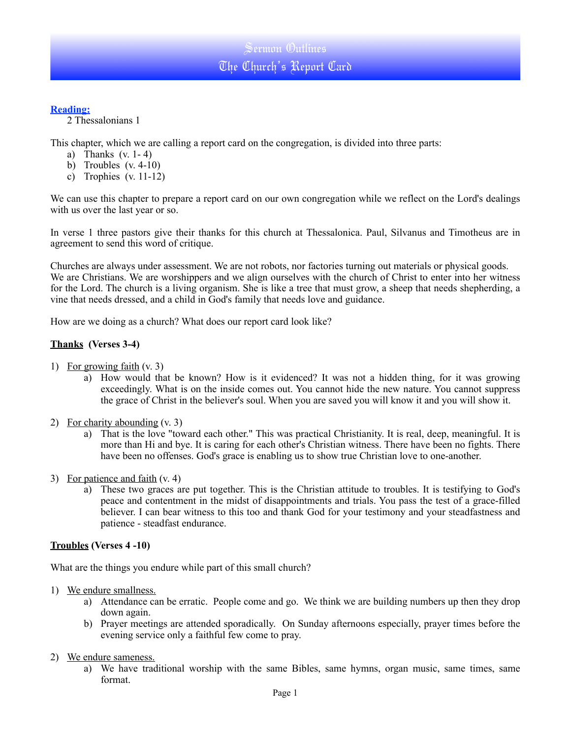### **Reading:**

2 Thessalonians 1

This chapter, which we are calling a report card on the congregation, is divided into three parts:

- a) Thanks  $(v. 1-4)$
- b) Troubles  $(v. 4-10)$
- c) Trophies  $(v. 11-12)$

We can use this chapter to prepare a report card on our own congregation while we reflect on the Lord's dealings with us over the last year or so.

In verse 1 three pastors give their thanks for this church at Thessalonica. Paul, Silvanus and Timotheus are in agreement to send this word of critique.

Churches are always under assessment. We are not robots, nor factories turning out materials or physical goods. We are Christians. We are worshippers and we align ourselves with the church of Christ to enter into her witness for the Lord. The church is a living organism. She is like a tree that must grow, a sheep that needs shepherding, a vine that needs dressed, and a child in God's family that needs love and guidance.

How are we doing as a church? What does our report card look like?

### **Thanks (Verses 3-4)**

- 1) For growing faith (v. 3)
	- a) How would that be known? How is it evidenced? It was not a hidden thing, for it was growing exceedingly. What is on the inside comes out. You cannot hide the new nature. You cannot suppress the grace of Christ in the believer's soul. When you are saved you will know it and you will show it.
- 2) For charity abounding (v. 3)
	- a) That is the love "toward each other." This was practical Christianity. It is real, deep, meaningful. It is more than Hi and bye. It is caring for each other's Christian witness. There have been no fights. There have been no offenses. God's grace is enabling us to show true Christian love to one-another.
- 3) For patience and faith (v. 4)
	- a) These two graces are put together. This is the Christian attitude to troubles. It is testifying to God's peace and contentment in the midst of disappointments and trials. You pass the test of a grace-filled believer. I can bear witness to this too and thank God for your testimony and your steadfastness and patience - steadfast endurance.

#### **Troubles (Verses 4 -10)**

What are the things you endure while part of this small church?

- 1) We endure smallness.
	- a) Attendance can be erratic. People come and go. We think we are building numbers up then they drop down again.
	- b) Prayer meetings are attended sporadically. On Sunday afternoons especially, prayer times before the evening service only a faithful few come to pray.
- 2) We endure sameness.
	- a) We have traditional worship with the same Bibles, same hymns, organ music, same times, same format.